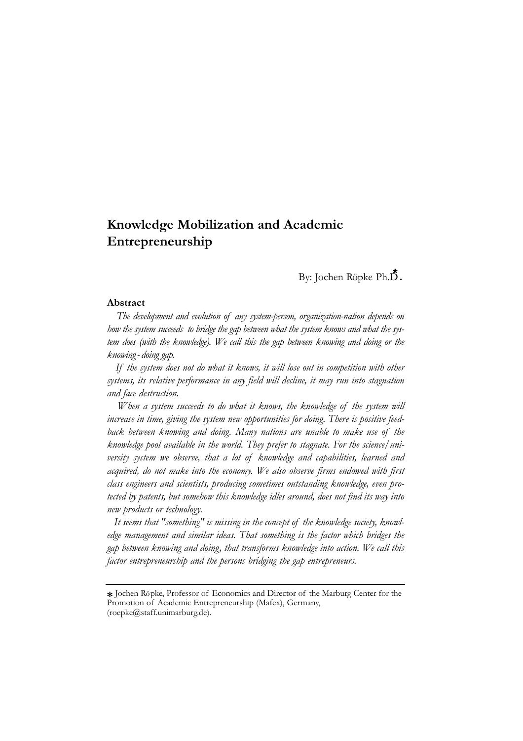By: Jochen Röpke Ph.D**. \***

# **Abstract**

*The development and evolution of any system-person, organization-nation depends on how the system succeeds to bridge the gap between what the system knows and what the system does (with the knowledge). We call this the gap between knowing and doing or the knowing - doing gap.*

*If the system does not do what it knows, it will lose out in competition with other systems, its relative performance in any field will decline, it may run into stagnation and face destruction.*

*When a system succeeds to do what it knows, the knowledge of the system will increase in time, giving the system new opportunities for doing. There is positive feedback between knowing and doing. Many nations are unable to make use of the knowledge pool available in the world. They prefer to stagnate. For the science/university system we observe, that a lot of knowledge and capabilities, learned and acquired, do not make into the economy. We also observe firms endowed with first class engineers and scientists, producing sometimes outstanding knowledge, even protected by patents, but somehow this knowledge idles around, does not find its way into new products or technology.*

*It seems that "something" is missing in the concept of the knowledge society, knowledge management and similar ideas. That something is the factor which bridges the gap between knowing and doing, that transforms knowledge into action. We call this factor entrepreneurship and the persons bridging the gap entrepreneurs.*

**<sup>\*</sup>** Jochen Röpke, Professor of Economics and Director of the Marburg Center for the Promotion of Academic Entrepreneurship (Mafex), Germany, (roepke@staff.unimarburg.de).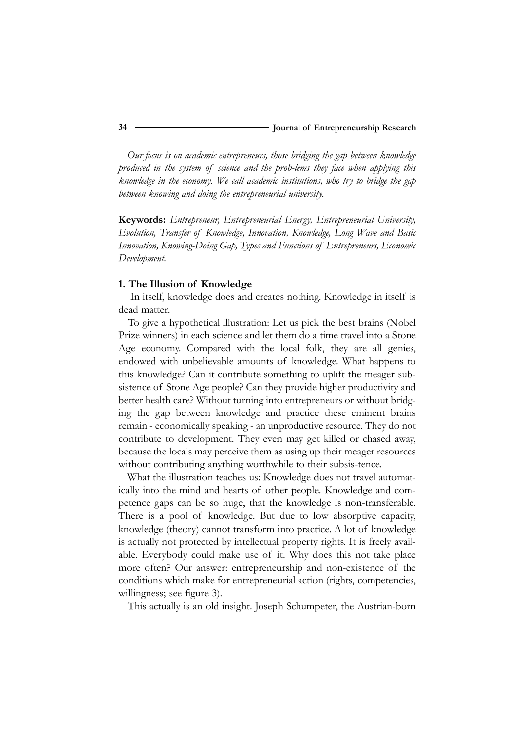*Our focus is on academic entrepreneurs, those bridging the gap between knowledge produced in the system of science and the prob-lems they face when applying this knowledge in the economy. We call academic institutions, who try to bridge the gap between knowing and doing the entrepreneurial university.*

**Keywords:** *Entrepreneur, Entrepreneurial Energy, Entrepreneurial University, Evolution, Transfer of Knowledge, Innovation, Knowledge, Long Wave and Basic Innovation, Knowing-Doing Gap, Types and Functions of Entrepreneurs, Economic Development.* 

#### **1. The Illusion of Knowledge**

In itself, knowledge does and creates nothing. Knowledge in itself is dead matter.

To give a hypothetical illustration: Let us pick the best brains (Nobel Prize winners) in each science and let them do a time travel into a Stone Age economy. Compared with the local folk, they are all genies, endowed with unbelievable amounts of knowledge. What happens to this knowledge? Can it contribute something to uplift the meager subsistence of Stone Age people? Can they provide higher productivity and better health care? Without turning into entrepreneurs or without bridging the gap between knowledge and practice these eminent brains remain - economically speaking - an unproductive resource. They do not contribute to development. They even may get killed or chased away, because the locals may perceive them as using up their meager resources without contributing anything worthwhile to their subsis-tence.

What the illustration teaches us: Knowledge does not travel automatically into the mind and hearts of other people. Knowledge and competence gaps can be so huge, that the knowledge is non-transferable. There is a pool of knowledge. But due to low absorptive capacity, knowledge (theory) cannot transform into practice. A lot of knowledge is actually not protected by intellectual property rights. It is freely available. Everybody could make use of it. Why does this not take place more often? Our answer: entrepreneurship and non-existence of the conditions which make for entrepreneurial action (rights, competencies, willingness; see figure 3).

This actually is an old insight. Joseph Schumpeter, the Austrian-born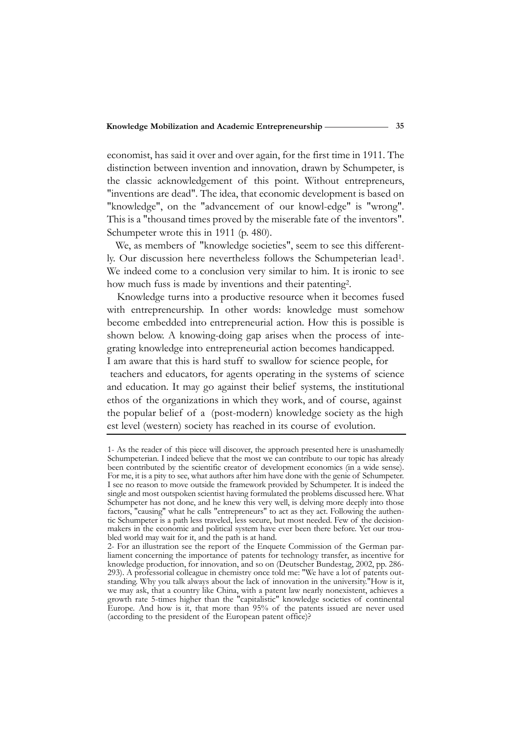economist, has said it over and over again, for the first time in 1911. The distinction between invention and innovation, drawn by Schumpeter, is the classic acknowledgement of this point. Without entrepreneurs, "inventions are dead". The idea, that economic development is based on "knowledge", on the "advancement of our knowl-edge" is "wrong". This is a "thousand times proved by the miserable fate of the inventors". Schumpeter wrote this in 1911 (p. 480).

**35**

We, as members of "knowledge societies", seem to see this differently. Our discussion here nevertheless follows the Schumpeterian lead1. We indeed come to a conclusion very similar to him. It is ironic to see how much fuss is made by inventions and their patenting2.

Knowledge turns into a productive resource when it becomes fused with entrepreneurship. In other words: knowledge must somehow become embedded into entrepreneurial action. How this is possible is shown below. A knowing-doing gap arises when the process of integrating knowledge into entrepreneurial action becomes handicapped. I am aware that this is hard stuff to swallow for science people, for

teachers and educators, for agents operating in the systems of science and education. It may go against their belief systems, the institutional ethos of the organizations in which they work, and of course, against the popular belief of a (post-modern) knowledge society as the high est level (western) society has reached in its course of evolution.

<sup>1-</sup> As the reader of this piece will discover, the approach presented here is unashamedly Schumpeterian. I indeed believe that the most we can contribute to our topic has already been contributed by the scientific creator of development economics (in a wide sense). For me, it is a pity to see, what authors after him have done with the genie of Schumpeter. I see no reason to move outside the framework provided by Schumpeter. It is indeed the single and most outspoken scientist having formulated the problems discussed here. What Schumpeter has not done, and he knew this very well, is delving more deeply into those factors, "causing" what he calls "entrepreneurs" to act as they act. Following the authentic Schumpeter is a path less traveled, less secure, but most needed. Few of the decisionmakers in the economic and political system have ever been there before. Yet our troubled world may wait for it, and the path is at hand.

<sup>2-</sup> For an illustration see the report of the Enquete Commission of the German parliament concerning the importance of patents for technology transfer, as incentive for knowledge production, for innovation, and so on (Deutscher Bundestag, 2002, pp. 286- 293). A professorial colleague in chemistry once told me: "We have a lot of patents outstanding. Why you talk always about the lack of innovation in the university."How is it, we may ask, that a country like China, with a patent law nearly nonexistent, achieves a growth rate 5-times higher than the "capitalistic" knowledge societies of continental Europe. And how is it, that more than 95% of the patents issued are never used (according to the president of the European patent office)?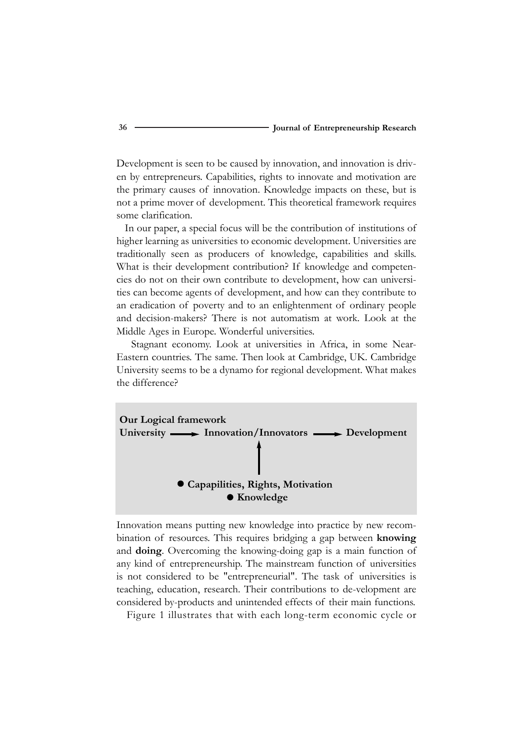Development is seen to be caused by innovation, and innovation is driven by entrepreneurs. Capabilities, rights to innovate and motivation are the primary causes of innovation. Knowledge impacts on these, but is not a prime mover of development. This theoretical framework requires some clarification.

In our paper, a special focus will be the contribution of institutions of higher learning as universities to economic development. Universities are traditionally seen as producers of knowledge, capabilities and skills. What is their development contribution? If knowledge and competencies do not on their own contribute to development, how can universities can become agents of development, and how can they contribute to an eradication of poverty and to an enlightenment of ordinary people and decision-makers? There is not automatism at work. Look at the Middle Ages in Europe. Wonderful universities.

Stagnant economy. Look at universities in Africa, in some Near-Eastern countries. The same. Then look at Cambridge, UK. Cambridge University seems to be a dynamo for regional development. What makes the difference?



Innovation means putting new knowledge into practice by new recombination of resources. This requires bridging a gap between **knowing** and **doing**. Overcoming the knowing-doing gap is a main function of any kind of entrepreneurship. The mainstream function of universities is not considered to be "entrepreneurial". The task of universities is teaching, education, research. Their contributions to de-velopment are considered by-products and unintended effects of their main functions.

Figure 1 illustrates that with each long-term economic cycle or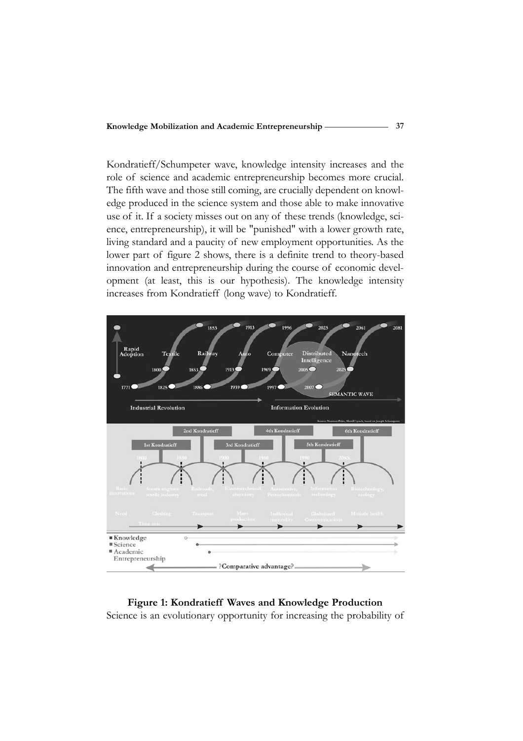**37**

Kondratieff/Schumpeter wave, knowledge intensity increases and the role of science and academic entrepreneurship becomes more crucial. The fifth wave and those still coming, are crucially dependent on knowledge produced in the science system and those able to make innovative use of it. If a society misses out on any of these trends (knowledge, science, entrepreneurship), it will be "punished" with a lower growth rate, living standard and a paucity of new employment opportunities. As the lower part of figure 2 shows, there is a definite trend to theory-based innovation and entrepreneurship during the course of economic development (at least, this is our hypothesis). The knowledge intensity increases from Kondratieff (long wave) to Kondratieff.



# **Figure 1: Kondratieff Waves and Knowledge Production**

Science is an evolutionary opportunity for increasing the probability of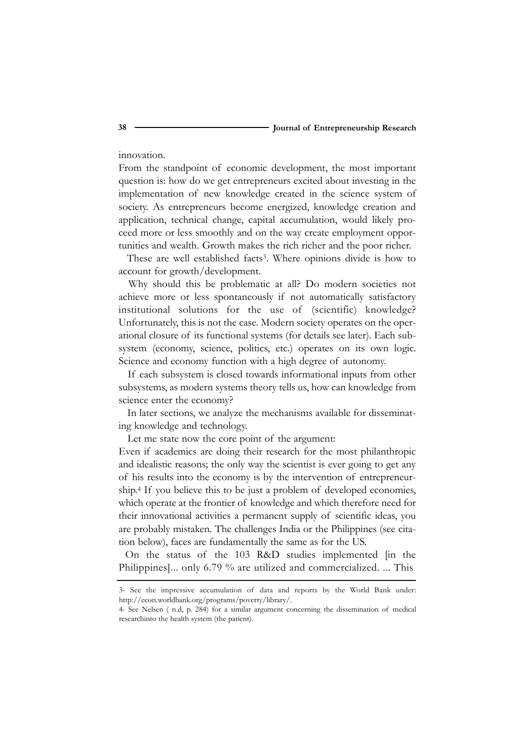innovation.

From the standpoint of economic development, the most important question is: how do we get entrepreneurs excited about investing in the implementation of new knowledge created in the science system of society. As entrepreneurs become energized, knowledge creation and application, technical change, capital accumulation, would likely proceed more or less smoothly and on the way create employment opportunities and wealth. Growth makes the rich richer and the poor richer.

These are well established facts<sup>3</sup>. Where opinions divide is how to account for growth/development.

Why should this be problematic at all? Do modern societies not achieve more or less spontaneously if not automatically satisfactory institutional solutions for the use of (scientific) knowledge? Unfortunately, this is not the case. Modern society operates on the operational closure of its functional systems (for details see later). Each subsystem (economy, science, politics, etc.) operates on its own logic. Science and economy function with a high degree of autonomy.

If each subsystem is closed towards informational inputs from other subsystems, as modern systems theory tells us, how can knowledge from science enter the economy?

In later sections, we analyze the mechanisms available for disseminating knowledge and technology.

Let me state now the core point of the argument:

Even if academics are doing their research for the most philanthropic and idealistic reasons; the only way the scientist is ever going to get any of his results into the economy is by the intervention of entrepreneurship.4 If you believe this to be just a problem of developed economies, which operate at the frontier of knowledge and which therefore need for their innovational activities a permanent supply of scientific ideas, you are probably mistaken. The challenges India or the Philippines (see citation below), faces are fundamentally the same as for the US.

On the status of the 103 R&D studies implemented [in the Philippines]... only 6.79 % are utilized and commercialized. ... This

**38**

<sup>3-</sup> See the impressive accumulation of data and reports by the World Bank under: http://econ.worldbank.org/programs/poverty/library/.

<sup>4-</sup> See Nelsen ( n.d, p. 284) for a similar argument concerning the dissemination of medical researchinto the health system (the patient).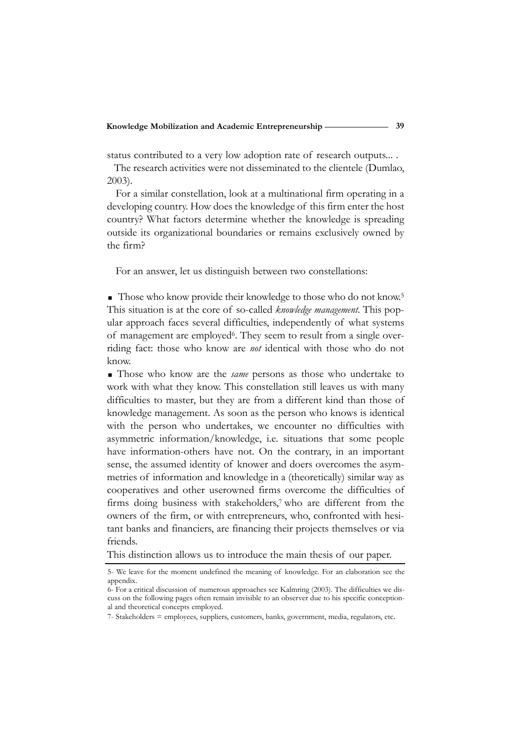status contributed to a very low adoption rate of research outputs... .

The research activities were not disseminated to the clientele (Dumlao, 2003).

For a similar constellation, look at a multinational firm operating in a developing country. How does the knowledge of this firm enter the host country? What factors determine whether the knowledge is spreading outside its organizational boundaries or remains exclusively owned by the firm?

For an answer, let us distinguish between two constellations:

Those who know provide their knowledge to those who do not know.<sup>5</sup> This situation is at the core of so-called *knowledge management*. This popular approach faces several difficulties, independently of what systems of management are employed<sup>6</sup>. They seem to result from a single overriding fact: those who know are *not* identical with those who do not know.

**Those who know are the** *same* persons as those who undertake to work with what they know. This constellation still leaves us with many difficulties to master, but they are from a different kind than those of knowledge management. As soon as the person who knows is identical with the person who undertakes, we encounter no difficulties with asymmetric information/knowledge, i.e. situations that some people have information-others have not. On the contrary, in an important sense, the assumed identity of knower and doers overcomes the asymmetries of information and knowledge in a (theoretically) similar way as cooperatives and other userowned firms overcome the difficulties of firms doing business with stakeholders,<sup>7</sup> who are different from the owners of the firm, or with entrepreneurs, who, confronted with hesitant banks and financiers, are financing their projects themselves or via friends.

This distinction allows us to introduce the main thesis of our paper.

<sup>5-</sup> We leave for the moment undefined the meaning of knowledge. For an elaboration see the appendix.

<sup>6-</sup> For a critical discussion of numerous approaches see Kalmring (2003). The difficulties we discuss on the following pages often remain invisible to an observer due to his specific conceptional and theoretical concepts employed.

<sup>7-</sup> Stakeholders = employees, suppliers, customers, banks, government, media, regulators, etc.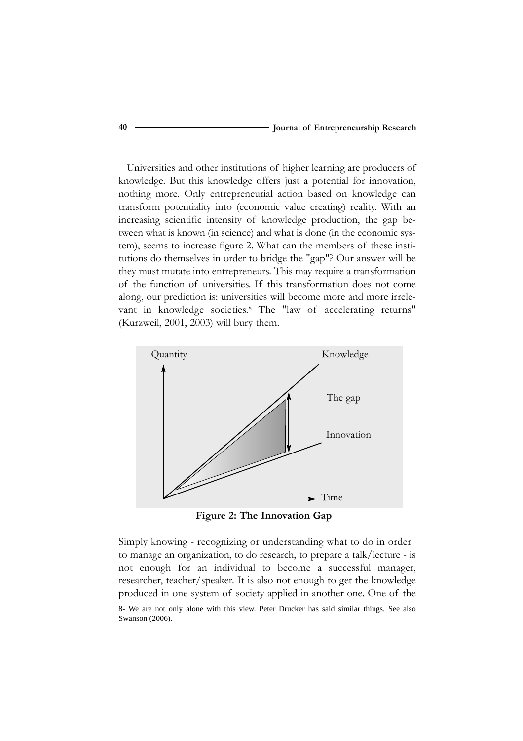Universities and other institutions of higher learning are producers of knowledge. But this knowledge offers just a potential for innovation, nothing more. Only entrepreneurial action based on knowledge can transform potentiality into (economic value creating) reality. With an increasing scientific intensity of knowledge production, the gap between what is known (in science) and what is done (in the economic system), seems to increase figure 2. What can the members of these institutions do themselves in order to bridge the "gap"? Our answer will be they must mutate into entrepreneurs. This may require a transformation of the function of universities. If this transformation does not come along, our prediction is: universities will become more and more irrelevant in knowledge societies.8 The "law of accelerating returns" (Kurzweil, 2001, 2003) will bury them.



**Figure 2: The Innovation Gap** 

Simply knowing - recognizing or understanding what to do in order to manage an organization, to do research, to prepare a talk/lecture - is not enough for an individual to become a successful manager, researcher, teacher/speaker. It is also not enough to get the knowledge produced in one system of society applied in another one. One of the

<sup>8-</sup> We are not only alone with this view. Peter Drucker has said similar things. See also Swanson (2006).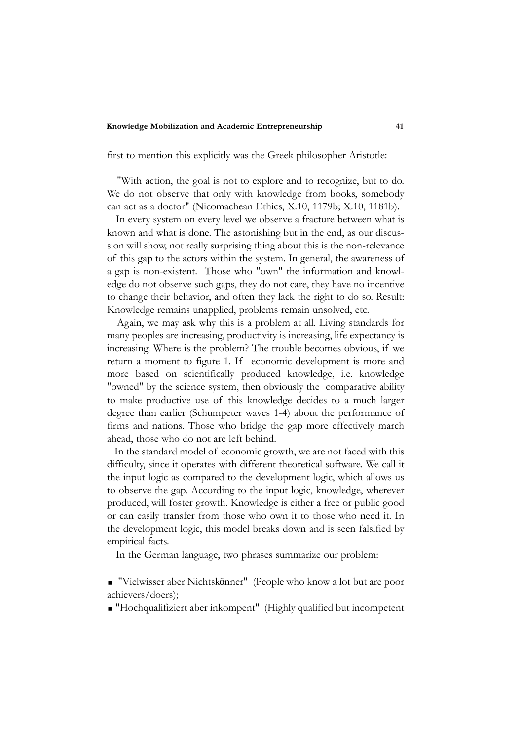**41**

first to mention this explicitly was the Greek philosopher Aristotle:

"With action, the goal is not to explore and to recognize, but to do. We do not observe that only with knowledge from books, somebody can act as a doctor" (Nicomachean Ethics, X.10, 1179b; X.10, 1181b).

In every system on every level we observe a fracture between what is known and what is done. The astonishing but in the end, as our discussion will show, not really surprising thing about this is the non-relevance of this gap to the actors within the system. In general, the awareness of a gap is non-existent. Those who "own" the information and knowledge do not observe such gaps, they do not care, they have no incentive to change their behavior, and often they lack the right to do so. Result: Knowledge remains unapplied, problems remain unsolved, etc.

Again, we may ask why this is a problem at all. Living standards for many peoples are increasing, productivity is increasing, life expectancy is increasing. Where is the problem? The trouble becomes obvious, if we return a moment to figure 1. If economic development is more and more based on scientifically produced knowledge, i.e. knowledge "owned" by the science system, then obviously the comparative ability to make productive use of this knowledge decides to a much larger degree than earlier (Schumpeter waves 1-4) about the performance of firms and nations. Those who bridge the gap more effectively march ahead, those who do not are left behind.

In the standard model of economic growth, we are not faced with this difficulty, since it operates with different theoretical software. We call it the input logic as compared to the development logic, which allows us to observe the gap. According to the input logic, knowledge, wherever produced, will foster growth. Knowledge is either a free or public good or can easily transfer from those who own it to those who need it. In the development logic, this model breaks down and is seen falsified by empirical facts.

In the German language, two phrases summarize our problem:

- "Vielwisser aber Nichtskönner" (People who know a lot but are poor achievers/doers);
- "Hochqualifiziert aber inkompent" (Highly qualified but incompetent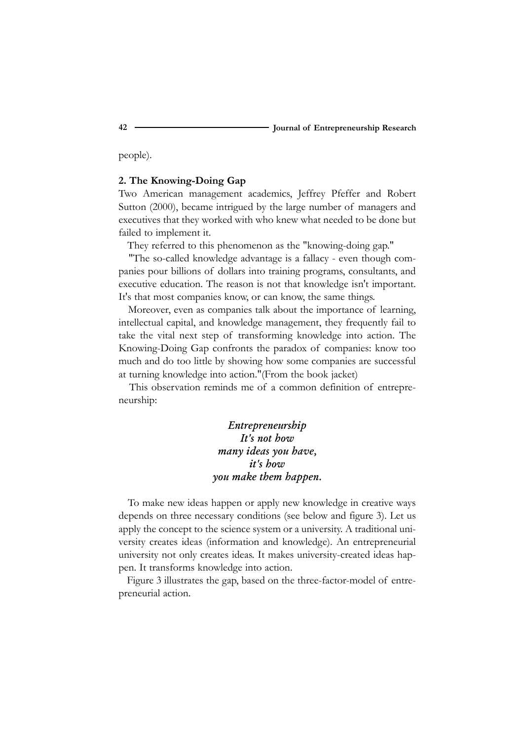people).

# **2. The Knowing-Doing Gap**

Two American management academics, Jeffrey Pfeffer and Robert Sutton (2000), became intrigued by the large number of managers and executives that they worked with who knew what needed to be done but failed to implement it.

They referred to this phenomenon as the "knowing-doing gap."

"The so-called knowledge advantage is a fallacy - even though companies pour billions of dollars into training programs, consultants, and executive education. The reason is not that knowledge isn't important. It's that most companies know, or can know, the same things.

Moreover, even as companies talk about the importance of learning, intellectual capital, and knowledge management, they frequently fail to take the vital next step of transforming knowledge into action. The Knowing-Doing Gap confronts the paradox of companies: know too much and do too little by showing how some companies are successful at turning knowledge into action."(From the book jacket)

This observation reminds me of a common definition of entrepreneurship:

# *Entrepreneurship It's not how many ideas you have, it's how you make them happen.*

To make new ideas happen or apply new knowledge in creative ways depends on three necessary conditions (see below and figure 3). Let us apply the concept to the science system or a university. A traditional university creates ideas (information and knowledge). An entrepreneurial university not only creates ideas. It makes university-created ideas happen. It transforms knowledge into action.

Figure 3 illustrates the gap, based on the three-factor-model of entrepreneurial action.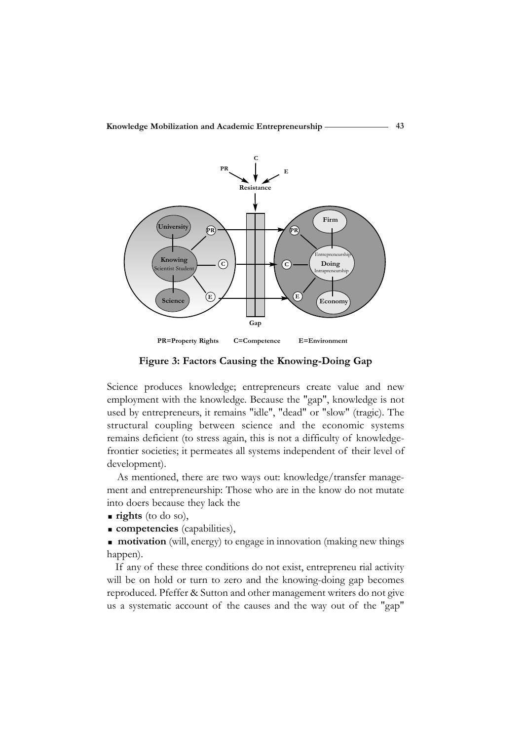

**Figure 3: Factors Causing the Knowing-Doing Gap**

Science produces knowledge; entrepreneurs create value and new employment with the knowledge. Because the "gap", knowledge is not used by entrepreneurs, it remains "idle", "dead" or "slow" (tragic). The structural coupling between science and the economic systems remains deficient (to stress again, this is not a difficulty of knowledgefrontier societies; it permeates all systems independent of their level of development).

As mentioned, there are two ways out: knowledge/transfer management and entrepreneurship: Those who are in the know do not mutate into doers because they lack the

- **rights** (to do so),
- **competencies** (capabilities),

**motivation** (will, energy) to engage in innovation (making new things happen).

If any of these three conditions do not exist, entrepreneu rial activity will be on hold or turn to zero and the knowing-doing gap becomes reproduced. Pfeffer & Sutton and other management writers do not give us a systematic account of the causes and the way out of the "gap"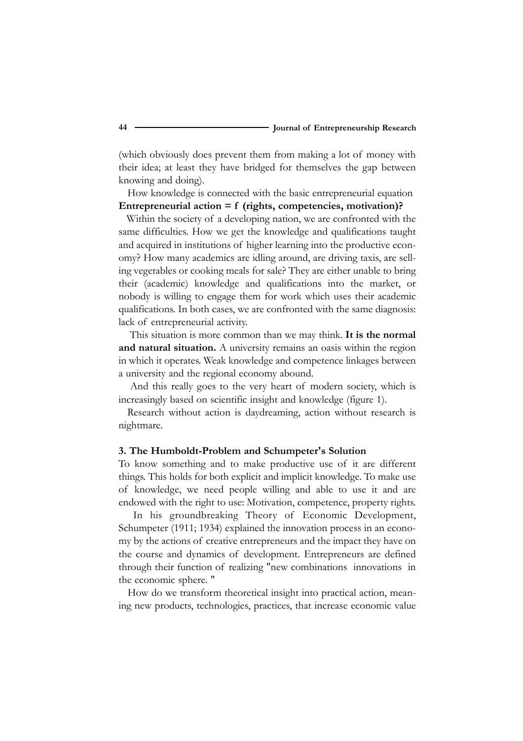(which obviously does prevent them from making a lot of money with their idea; at least they have bridged for themselves the gap between knowing and doing).

How knowledge is connected with the basic entrepreneurial equation **Entrepreneurial action = f (rights, competencies, motivation)?**

Within the society of a developing nation, we are confronted with the same difficulties. How we get the knowledge and qualifications taught and acquired in institutions of higher learning into the productive economy? How many academics are idling around, are driving taxis, are selling vegetables or cooking meals for sale? They are either unable to bring their (academic) knowledge and qualifications into the market, or nobody is willing to engage them for work which uses their academic qualifications. In both cases, we are confronted with the same diagnosis: lack of entrepreneurial activity.

This situation is more common than we may think. **It is the normal and natural situation.** A university remains an oasis within the region in which it operates. Weak knowledge and competence linkages between a university and the regional economy abound.

And this really goes to the very heart of modern society, which is increasingly based on scientific insight and knowledge (figure 1).

Research without action is daydreaming, action without research is nightmare.

### **3. The Humboldt-Problem and Schumpeter's Solution**

To know something and to make productive use of it are different things. This holds for both explicit and implicit knowledge. To make use of knowledge, we need people willing and able to use it and are endowed with the right to use: Motivation, competence, property rights.

In his groundbreaking Theory of Economic Development, Schumpeter (1911; 1934) explained the innovation process in an economy by the actions of creative entrepreneurs and the impact they have on the course and dynamics of development. Entrepreneurs are defined through their function of realizing "new combinations innovations in the economic sphere. "

How do we transform theoretical insight into practical action, meaning new products, technologies, practices, that increase economic value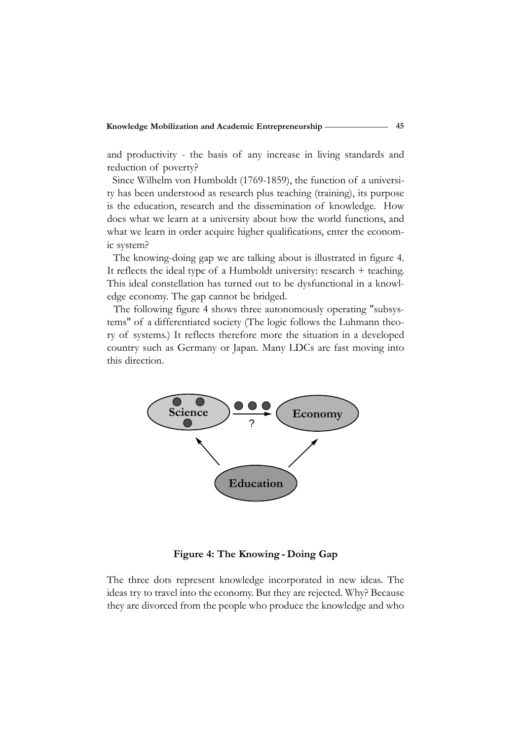and productivity - the basis of any increase in living standards and reduction of poverty?

Since Wilhelm von Humboldt (1769-1859), the function of a university has been understood as research plus teaching (training), its purpose is the education, research and the dissemination of knowledge. How does what we learn at a university about how the world functions, and what we learn in order acquire higher qualifications, enter the economic system?

The knowing-doing gap we are talking about is illustrated in figure 4. It reflects the ideal type of a Humboldt university: research + teaching. This ideal constellation has turned out to be dysfunctional in a knowledge economy. The gap cannot be bridged.

The following figure 4 shows three autonomously operating "subsystems" of a differentiated society (The logic follows the Luhmann theory of systems.) It reflects therefore more the situation in a developed country such as Germany or Japan. Many LDCs are fast moving into this direction.



**Figure 4: The Knowing - Doing Gap**

The three dots represent knowledge incorporated in new ideas. The ideas try to travel into the economy. But they are rejected. Why? Because they are divorced from the people who produce the knowledge and who

**45**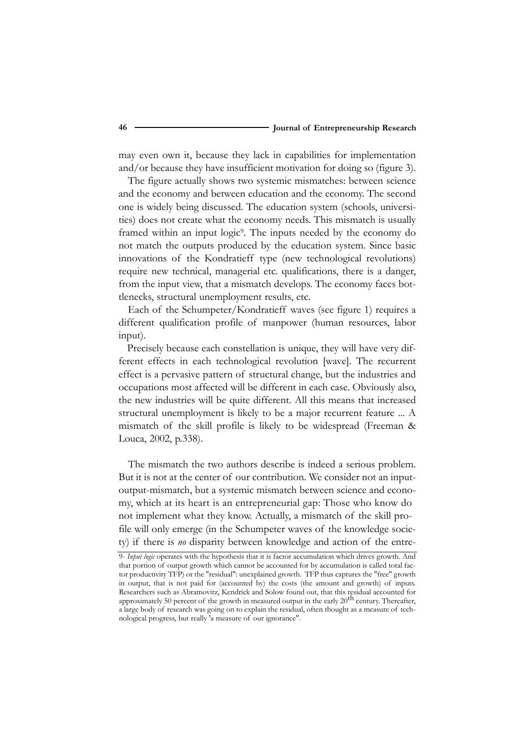may even own it, because they lack in capabilities for implementation and/or because they have insufficient motivation for doing so (figure 3).

The figure actually shows two systemic mismatches: between science and the economy and between education and the economy. The second one is widely being discussed. The education system (schools, universities) does not create what the economy needs. This mismatch is usually framed within an input logic<sup>9</sup>. The inputs needed by the economy do not match the outputs produced by the education system. Since basic innovations of the Kondratieff type (new technological revolutions) require new technical, managerial etc. qualifications, there is a danger, from the input view, that a mismatch develops. The economy faces bottlenecks, structural unemployment results, etc.

Each of the Schumpeter/Kondratieff waves (see figure 1) requires a different qualification profile of manpower (human resources, labor input).

Precisely because each constellation is unique, they will have very different effects in each technological revolution [wave]. The recurrent effect is a pervasive pattern of structural change, but the industries and occupations most affected will be different in each case. Obviously also, the new industries will be quite different. All this means that increased structural unemployment is likely to be a major recurrent feature ... A mismatch of the skill profile is likely to be widespread (Freeman & Louca, 2002, p.338).

The mismatch the two authors describe is indeed a serious problem. But it is not at the center of our contribution. We consider not an inputoutput-mismatch, but a systemic mismatch between science and economy, which at its heart is an entrepreneurial gap: Those who know do not implement what they know. Actually, a mismatch of the skill profile will only emerge (in the Schumpeter waves of the knowledge society) if there is *no* disparity between knowledge and action of the entre-

<sup>9-</sup> *Input logic* operates with the hypothesis that it is factor accumulation which drives growth. And that portion of output growth which cannot be accounted for by accumulation is called total factor productivity TFP) or the "residual": unexplained growth. TFP thus captures the "free" growth in output, that is not paid for (accounted by) the costs (the amount and growth) of inputs. Researchers such as Abramovitz, Kendrick and Solow found out, that this residual accounted for approximately 50 percent of the growth in measured output in the early 20<sup>th</sup> century. Thereafter, a large body of research was going on to explain the residual, often thought as a measure of technological progress, but really 'a measure of our ignorance".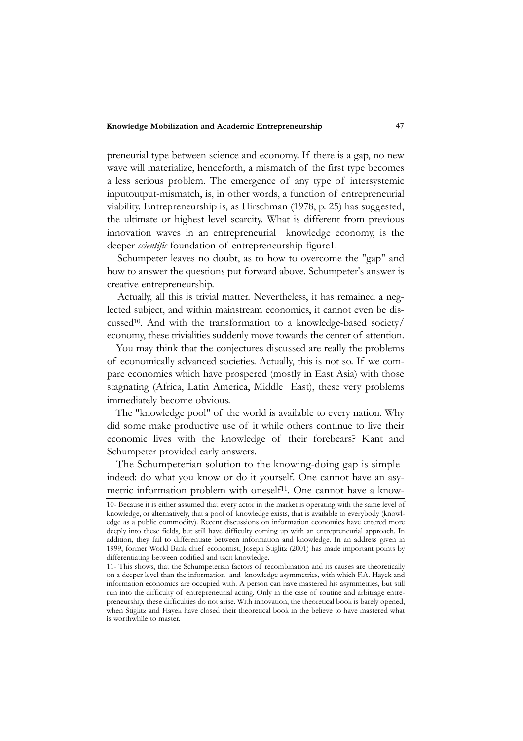**47**

preneurial type between science and economy. If there is a gap, no new wave will materialize, henceforth, a mismatch of the first type becomes a less serious problem. The emergence of any type of intersystemic inputoutput-mismatch, is, in other words, a function of entrepreneurial viability. Entrepreneurship is, as Hirschman (1978, p. 25) has suggested, the ultimate or highest level scarcity. What is different from previous innovation waves in an entrepreneurial knowledge economy, is the deeper *scientific* foundation of entrepreneurship figure1.

Schumpeter leaves no doubt, as to how to overcome the "gap" and how to answer the questions put forward above. Schumpeter's answer is creative entrepreneurship.

Actually, all this is trivial matter. Nevertheless, it has remained a neglected subject, and within mainstream economics, it cannot even be discussed10. And with the transformation to a knowledge-based society/ economy, these trivialities suddenly move towards the center of attention.

You may think that the conjectures discussed are really the problems of economically advanced societies. Actually, this is not so. If we compare economies which have prospered (mostly in East Asia) with those stagnating (Africa, Latin America, Middle East), these very problems immediately become obvious.

The "knowledge pool" of the world is available to every nation. Why did some make productive use of it while others continue to live their economic lives with the knowledge of their forebears? Kant and Schumpeter provided early answers.

The Schumpeterian solution to the knowing-doing gap is simple indeed: do what you know or do it yourself. One cannot have an asymetric information problem with oneself<sup>11</sup>. One cannot have a know-

<sup>10-</sup> Because it is either assumed that every actor in the market is operating with the same level of knowledge, or alternatively, that a pool of knowledge exists, that is available to everybody (knowledge as a public commodity). Recent discussions on information economics have entered more deeply into these fields, but still have difficulty coming up with an entrepreneurial approach. In addition, they fail to differentiate between information and knowledge. In an address given in 1999, former World Bank chief economist, Joseph Stiglitz (2001) has made important points by differentiating between codified and tacit knowledge.

<sup>11-</sup> This shows, that the Schumpeterian factors of recombination and its causes are theoretically on a deeper level than the information and knowledge asymmetries, with which F.A. Hayek and information economics are occupied with. A person can have mastered his asymmetries, but still run into the difficulty of entrepreneurial acting. Only in the case of routine and arbitrage entrepreneurship, these difficulties do not arise. With innovation, the theoretical book is barely opened, when Stiglitz and Hayek have closed their theoretical book in the believe to have mastered what is worthwhile to master.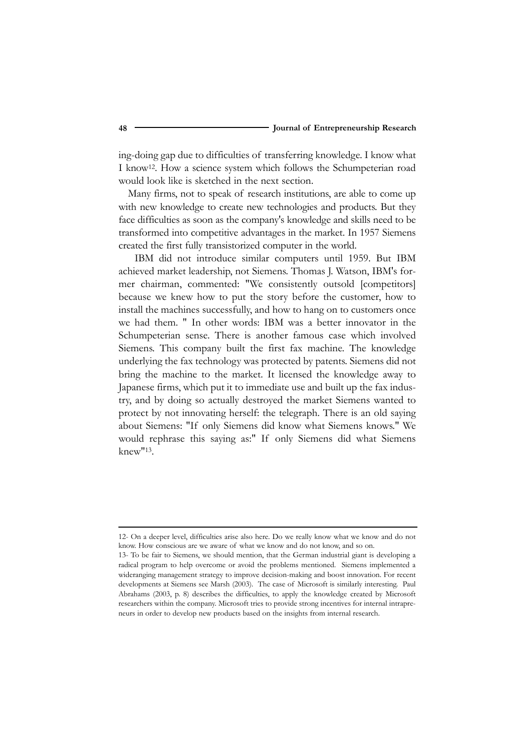ing-doing gap due to difficulties of transferring knowledge. I know what I know12. How a science system which follows the Schumpeterian road would look like is sketched in the next section.

Many firms, not to speak of research institutions, are able to come up with new knowledge to create new technologies and products. But they face difficulties as soon as the company's knowledge and skills need to be transformed into competitive advantages in the market. In 1957 Siemens created the first fully transistorized computer in the world.

IBM did not introduce similar computers until 1959. But IBM achieved market leadership, not Siemens. Thomas J. Watson, IBM's former chairman, commented: "We consistently outsold [competitors] because we knew how to put the story before the customer, how to install the machines successfully, and how to hang on to customers once we had them. " In other words: IBM was a better innovator in the Schumpeterian sense. There is another famous case which involved Siemens. This company built the first fax machine. The knowledge underlying the fax technology was protected by patents. Siemens did not bring the machine to the market. It licensed the knowledge away to Japanese firms, which put it to immediate use and built up the fax industry, and by doing so actually destroyed the market Siemens wanted to protect by not innovating herself: the telegraph. There is an old saying about Siemens: "If only Siemens did know what Siemens knows." We would rephrase this saying as:" If only Siemens did what Siemens knew"13.

<sup>12-</sup> On a deeper level, difficulties arise also here. Do we really know what we know and do not know. How conscious are we aware of what we know and do not know, and so on.

<sup>13-</sup> To be fair to Siemens, we should mention, that the German industrial giant is developing a radical program to help overcome or avoid the problems mentioned. Siemens implemented a wideranging management strategy to improve decision-making and boost innovation. For recent developments at Siemens see Marsh (2003). The case of Microsoft is similarly interesting. Paul Abrahams (2003, p. 8) describes the difficulties, to apply the knowledge created by Microsoft researchers within the company. Microsoft tries to provide strong incentives for internal intrapreneurs in order to develop new products based on the insights from internal research.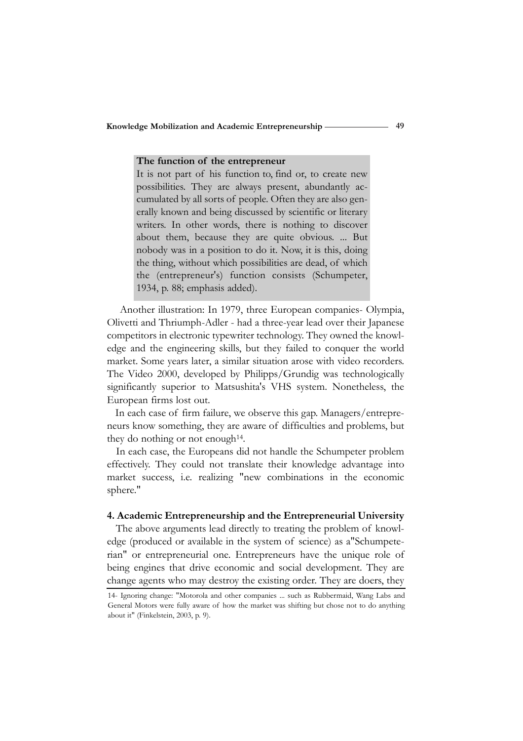# **The function of the entrepreneur**

It is not part of his function to, find or, to create new possibilities. They are always present, abundantly accumulated by all sorts of people. Often they are also generally known and being discussed by scientific or literary writers. In other words, there is nothing to discover about them, because they are quite obvious. ... But nobody was in a position to do it. Now, it is this, doing the thing, without which possibilities are dead, of which the (entrepreneur's) function consists (Schumpeter, 1934, p. 88; emphasis added).

Another illustration: In 1979, three European companies- Olympia, Olivetti and Thriumph-Adler - had a three-year lead over their Japanese competitors in electronic typewriter technology. They owned the knowledge and the engineering skills, but they failed to conquer the world market. Some years later, a similar situation arose with video recorders. The Video 2000, developed by Philipps/Grundig was technologically significantly superior to Matsushita's VHS system. Nonetheless, the European firms lost out.

In each case of firm failure, we observe this gap. Managers/entrepreneurs know something, they are aware of difficulties and problems, but they do nothing or not enough14.

In each case, the Europeans did not handle the Schumpeter problem effectively. They could not translate their knowledge advantage into market success, i.e. realizing "new combinations in the economic sphere."

### **4. Academic Entrepreneurship and the Entrepreneurial University**

The above arguments lead directly to treating the problem of knowledge (produced or available in the system of science) as a"Schumpeterian" or entrepreneurial one. Entrepreneurs have the unique role of being engines that drive economic and social development. They are change agents who may destroy the existing order. They are doers, they

**49**

<sup>14-</sup> Ignoring change: "Motorola and other companies ... such as Rubbermaid, Wang Labs and General Motors were fully aware of how the market was shifting but chose not to do anything about it" (Finkelstein, 2003, p. 9).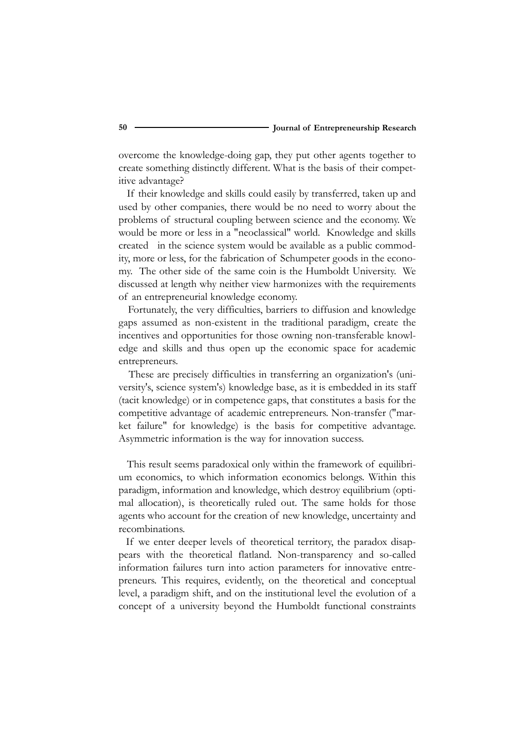overcome the knowledge-doing gap, they put other agents together to create something distinctly different. What is the basis of their competitive advantage?

If their knowledge and skills could easily by transferred, taken up and used by other companies, there would be no need to worry about the problems of structural coupling between science and the economy. We would be more or less in a "neoclassical" world. Knowledge and skills created in the science system would be available as a public commodity, more or less, for the fabrication of Schumpeter goods in the economy. The other side of the same coin is the Humboldt University. We discussed at length why neither view harmonizes with the requirements of an entrepreneurial knowledge economy.

Fortunately, the very difficulties, barriers to diffusion and knowledge gaps assumed as non-existent in the traditional paradigm, create the incentives and opportunities for those owning non-transferable knowledge and skills and thus open up the economic space for academic entrepreneurs.

These are precisely difficulties in transferring an organization's (university's, science system's) knowledge base, as it is embedded in its staff (tacit knowledge) or in competence gaps, that constitutes a basis for the competitive advantage of academic entrepreneurs. Non-transfer ("market failure" for knowledge) is the basis for competitive advantage. Asymmetric information is the way for innovation success.

This result seems paradoxical only within the framework of equilibrium economics, to which information economics belongs. Within this paradigm, information and knowledge, which destroy equilibrium (optimal allocation), is theoretically ruled out. The same holds for those agents who account for the creation of new knowledge, uncertainty and recombinations.

If we enter deeper levels of theoretical territory, the paradox disappears with the theoretical flatland. Non-transparency and so-called information failures turn into action parameters for innovative entrepreneurs. This requires, evidently, on the theoretical and conceptual level, a paradigm shift, and on the institutional level the evolution of a concept of a university beyond the Humboldt functional constraints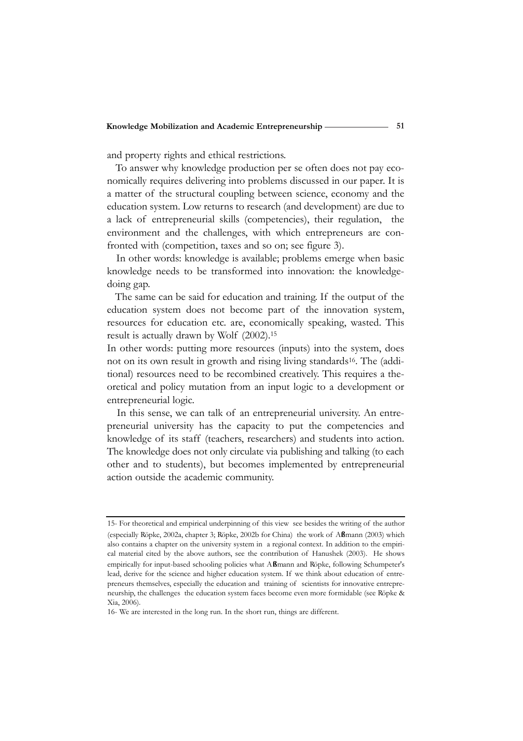and property rights and ethical restrictions.

To answer why knowledge production per se often does not pay economically requires delivering into problems discussed in our paper. It is a matter of the structural coupling between science, economy and the education system. Low returns to research (and development) are due to a lack of entrepreneurial skills (competencies), their regulation, the environment and the challenges, with which entrepreneurs are confronted with (competition, taxes and so on; see figure 3).

In other words: knowledge is available; problems emerge when basic knowledge needs to be transformed into innovation: the knowledgedoing gap.

The same can be said for education and training. If the output of the education system does not become part of the innovation system, resources for education etc. are, economically speaking, wasted. This result is actually drawn by Wolf (2002).15

In other words: putting more resources (inputs) into the system, does not on its own result in growth and rising living standards16. The (additional) resources need to be recombined creatively. This requires a theoretical and policy mutation from an input logic to a development or entrepreneurial logic.

In this sense, we can talk of an entrepreneurial university. An entrepreneurial university has the capacity to put the competencies and knowledge of its staff (teachers, researchers) and students into action. The knowledge does not only circulate via publishing and talking (to each other and to students), but becomes implemented by entrepreneurial action outside the academic community.

<sup>15-</sup> For theoretical and empirical underpinning of this view see besides the writing of the author (especially Röpke, 2002a, chapter 3; Röpke, 2002b for China) the work of A mann (2003) which **ß**also contains a chapter on the university system in a regional context. In addition to the empirical material cited by the above authors, see the contribution of Hanushek (2003). He shows empirically for input-based schooling policies what A mann and Röpke, following Schumpeter's **ß** lead, derive for the science and higher education system. If we think about education of entrepreneurs themselves, especially the education and training of scientists for innovative entrepreneurship, the challenges the education system faces become even more formidable (see Röpke & Xia, 2006).

<sup>16-</sup> We are interested in the long run. In the short run, things are different.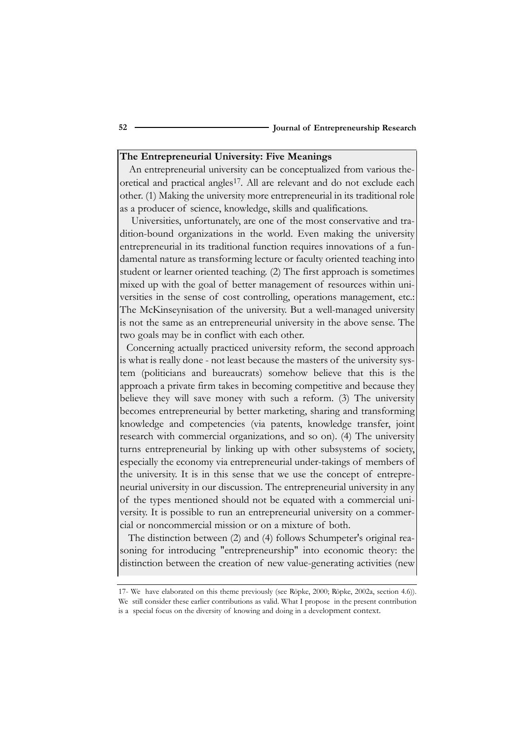### **The Entrepreneurial University: Five Meanings**

An entrepreneurial university can be conceptualized from various theoretical and practical angles<sup>17</sup>. All are relevant and do not exclude each other. (1) Making the university more entrepreneurial in its traditional role as a producer of science, knowledge, skills and qualifications.

Universities, unfortunately, are one of the most conservative and tradition-bound organizations in the world. Even making the university entrepreneurial in its traditional function requires innovations of a fundamental nature as transforming lecture or faculty oriented teaching into student or learner oriented teaching. (2) The first approach is sometimes mixed up with the goal of better management of resources within universities in the sense of cost controlling, operations management, etc.: The McKinseynisation of the university. But a well-managed university is not the same as an entrepreneurial university in the above sense. The two goals may be in conflict with each other.

Concerning actually practiced university reform, the second approach is what is really done - not least because the masters of the university system (politicians and bureaucrats) somehow believe that this is the approach a private firm takes in becoming competitive and because they believe they will save money with such a reform. (3) The university becomes entrepreneurial by better marketing, sharing and transforming knowledge and competencies (via patents, knowledge transfer, joint research with commercial organizations, and so on). (4) The university turns entrepreneurial by linking up with other subsystems of society, especially the economy via entrepreneurial under-takings of members of the university. It is in this sense that we use the concept of entrepreneurial university in our discussion. The entrepreneurial university in any of the types mentioned should not be equated with a commercial university. It is possible to run an entrepreneurial university on a commercial or noncommercial mission or on a mixture of both.

The distinction between (2) and (4) follows Schumpeter's original reasoning for introducing "entrepreneurship" into economic theory: the distinction between the creation of new value-generating activities (new

17- We have elaborated on this theme previously (see Röpke, 2000; Röpke, 2002a, section 4.6)). We still consider these earlier contributions as valid. What I propose in the present contribution is a special focus on the diversity of knowing and doing in a development context.

**52**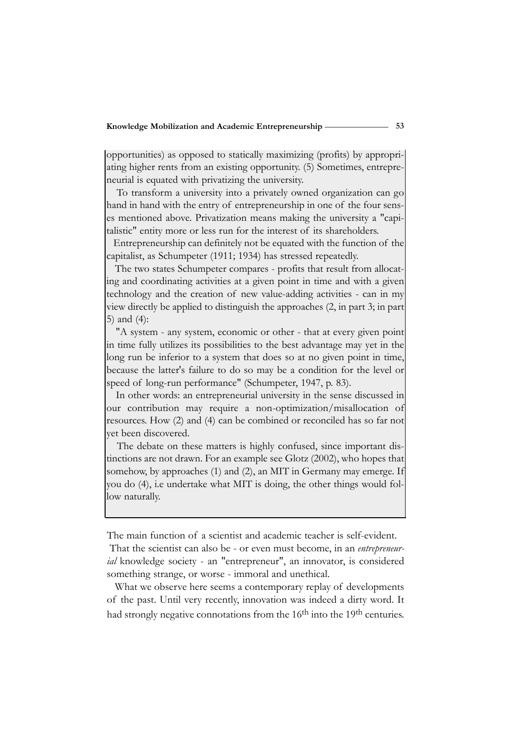opportunities) as opposed to statically maximizing (profits) by appropriating higher rents from an existing opportunity. (5) Sometimes, entrepreneurial is equated with privatizing the university.

To transform a university into a privately owned organization can go hand in hand with the entry of entrepreneurship in one of the four senses mentioned above. Privatization means making the university a "capitalistic" entity more or less run for the interest of its shareholders.

Entrepreneurship can definitely not be equated with the function of the capitalist, as Schumpeter (1911; 1934) has stressed repeatedly.

The two states Schumpeter compares - profits that result from allocating and coordinating activities at a given point in time and with a given technology and the creation of new value-adding activities - can in my view directly be applied to distinguish the approaches (2, in part 3; in part 5) and (4):

"A system - any system, economic or other - that at every given point in time fully utilizes its possibilities to the best advantage may yet in the long run be inferior to a system that does so at no given point in time, because the latter's failure to do so may be a condition for the level or speed of long-run performance" (Schumpeter, 1947, p. 83).

In other words: an entrepreneurial university in the sense discussed in our contribution may require a non-optimization/misallocation of resources. How (2) and (4) can be combined or reconciled has so far not yet been discovered.

The debate on these matters is highly confused, since important distinctions are not drawn. For an example see Glotz (2002), who hopes that somehow, by approaches (1) and (2), an MIT in Germany may emerge. If you do (4), i.e undertake what MIT is doing, the other things would follow naturally.

The main function of a scientist and academic teacher is self-evident.

What we observe here seems a contemporary replay of developments of the past. Until very recently, innovation was indeed a dirty word. It had strongly negative connotations from the 16<sup>th</sup> into the 19<sup>th</sup> centuries.

That the scientist can also be - or even must become, in an *entrepreneurial* knowledge society - an "entrepreneur", an innovator, is considered something strange, or worse - immoral and unethical.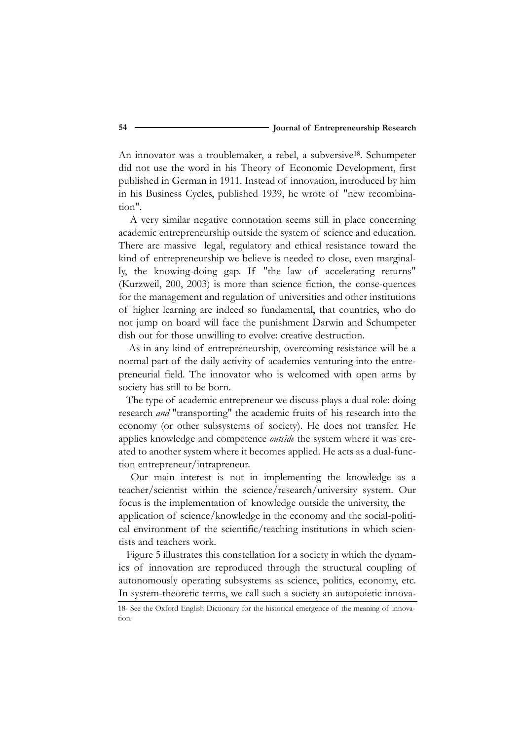An innovator was a troublemaker, a rebel, a subversive<sup>18</sup>. Schumpeter did not use the word in his Theory of Economic Development, first published in German in 1911. Instead of innovation, introduced by him in his Business Cycles, published 1939, he wrote of "new recombination".

A very similar negative connotation seems still in place concerning academic entrepreneurship outside the system of science and education. There are massive legal, regulatory and ethical resistance toward the kind of entrepreneurship we believe is needed to close, even marginally, the knowing-doing gap. If "the law of accelerating returns" (Kurzweil, 200, 2003) is more than science fiction, the conse-quences for the management and regulation of universities and other institutions of higher learning are indeed so fundamental, that countries, who do not jump on board will face the punishment Darwin and Schumpeter dish out for those unwilling to evolve: creative destruction.

As in any kind of entrepreneurship, overcoming resistance will be a normal part of the daily activity of academics venturing into the entrepreneurial field. The innovator who is welcomed with open arms by society has still to be born.

The type of academic entrepreneur we discuss plays a dual role: doing research *and* "transporting" the academic fruits of his research into the economy (or other subsystems of society). He does not transfer. He applies knowledge and competence *outside* the system where it was created to another system where it becomes applied. He acts as a dual-function entrepreneur/intrapreneur.

Our main interest is not in implementing the knowledge as a teacher/scientist within the science/research/university system. Our focus is the implementation of knowledge outside the university, the application of science/knowledge in the economy and the social-political environment of the scientific/teaching institutions in which scientists and teachers work.

Figure 5 illustrates this constellation for a society in which the dynamics of innovation are reproduced through the structural coupling of autonomously operating subsystems as science, politics, economy, etc. In system-theoretic terms, we call such a society an autopoietic innova-

18- See the Oxford English Dictionary for the historical emergence of the meaning of innovation.

**54**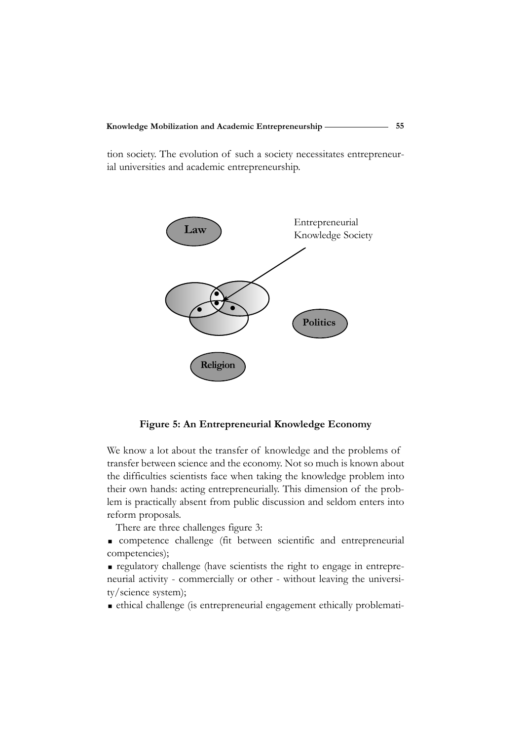tion society. The evolution of such a society necessitates entrepreneurial universities and academic entrepreneurship.



**Figure 5: An Entrepreneurial Knowledge Economy**

We know a lot about the transfer of knowledge and the problems of transfer between science and the economy. Not so much is known about the difficulties scientists face when taking the knowledge problem into their own hands: acting entrepreneurially. This dimension of the problem is practically absent from public discussion and seldom enters into reform proposals.

There are three challenges figure 3:

- competence challenge (fit between scientific and entrepreneurial competencies);
- regulatory challenge (have scientists the right to engage in entrepreneurial activity - commercially or other - without leaving the university/science system);
- ethical challenge (is entrepreneurial engagement ethically problemati-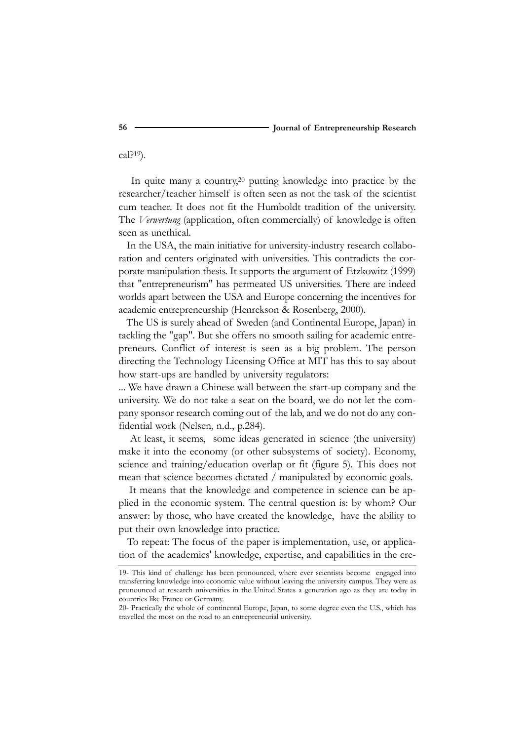cal?19).

In quite many a country,<sup>20</sup> putting knowledge into practice by the researcher/teacher himself is often seen as not the task of the scientist cum teacher. It does not fit the Humboldt tradition of the university. The *Verwertung* (application, often commercially) of knowledge is often seen as unethical.

In the USA, the main initiative for university-industry research collaboration and centers originated with universities. This contradicts the corporate manipulation thesis. It supports the argument of Etzkowitz (1999) that "entrepreneurism" has permeated US universities. There are indeed worlds apart between the USA and Europe concerning the incentives for academic entrepreneurship (Henrekson & Rosenberg, 2000).

The US is surely ahead of Sweden (and Continental Europe, Japan) in tackling the "gap". But she offers no smooth sailing for academic entrepreneurs. Conflict of interest is seen as a big problem. The person directing the Technology Licensing Office at MIT has this to say about how start-ups are handled by university regulators:

... We have drawn a Chinese wall between the start-up company and the university. We do not take a seat on the board, we do not let the company sponsor research coming out of the lab, and we do not do any confidential work (Nelsen, n.d., p.284).

At least, it seems, some ideas generated in science (the university) make it into the economy (or other subsystems of society). Economy, science and training/education overlap or fit (figure 5). This does not mean that science becomes dictated / manipulated by economic goals.

It means that the knowledge and competence in science can be applied in the economic system. The central question is: by whom? Our answer: by those, who have created the knowledge, have the ability to put their own knowledge into practice.

To repeat: The focus of the paper is implementation, use, or application of the academics' knowledge, expertise, and capabilities in the cre-

<sup>19-</sup> This kind of challenge has been pronounced, where ever scientists become engaged into transferring knowledge into economic value without leaving the university campus. They were as pronounced at research universities in the United States a generation ago as they are today in countries like France or Germany.

<sup>20-</sup> Practically the whole of continental Europe, Japan, to some degree even the U.S., which has travelled the most on the road to an entrepreneurial university.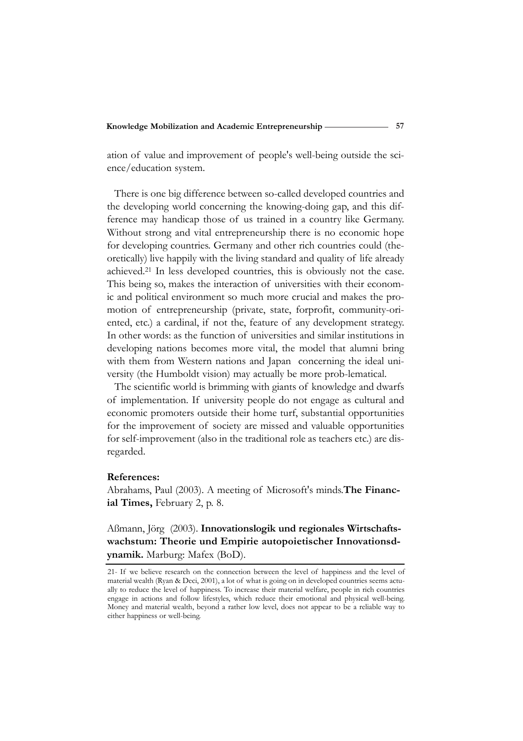ation of value and improvement of people's well-being outside the science/education system.

There is one big difference between so-called developed countries and the developing world concerning the knowing-doing gap, and this difference may handicap those of us trained in a country like Germany. Without strong and vital entrepreneurship there is no economic hope for developing countries. Germany and other rich countries could (theoretically) live happily with the living standard and quality of life already achieved.21 In less developed countries, this is obviously not the case. This being so, makes the interaction of universities with their economic and political environment so much more crucial and makes the promotion of entrepreneurship (private, state, forprofit, community-oriented, etc.) a cardinal, if not the, feature of any development strategy. In other words: as the function of universities and similar institutions in developing nations becomes more vital, the model that alumni bring with them from Western nations and Japan concerning the ideal university (the Humboldt vision) may actually be more prob-lematical.

The scientific world is brimming with giants of knowledge and dwarfs of implementation. If university people do not engage as cultural and economic promoters outside their home turf, substantial opportunities for the improvement of society are missed and valuable opportunities for self-improvement (also in the traditional role as teachers etc.) are disregarded.

# **References:**

Abrahams, Paul (2003). A meeting of Microsoft's minds.**The Financial Times,** February 2, p. 8.

Aßmann, Jörg (2003). **Innovationslogik und regionales Wirtschaftswachstum: Theorie und Empirie autopoietischer Innovationsdynamik.** Marburg: Mafex (BoD).

<sup>21-</sup> If we believe research on the connection between the level of happiness and the level of material wealth (Ryan & Deci, 2001), a lot of what is going on in developed countries seems actually to reduce the level of happiness. To increase their material welfare, people in rich countries engage in actions and follow lifestyles, which reduce their emotional and physical well-being. Money and material wealth, beyond a rather low level, does not appear to be a reliable way to either happiness or well-being.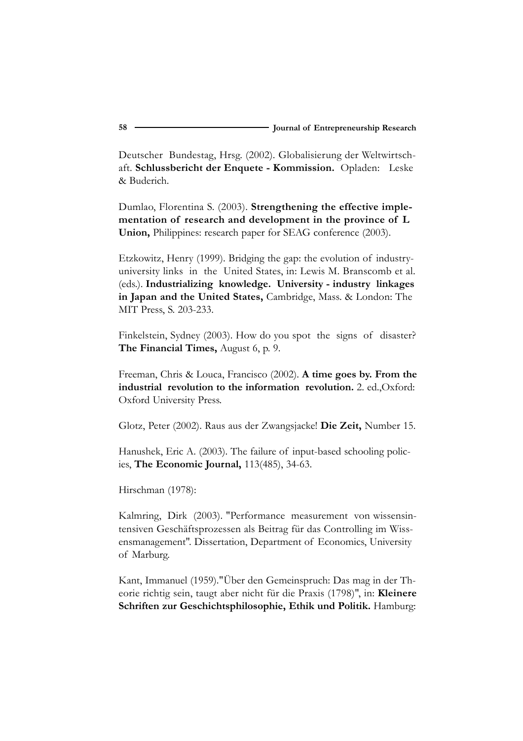Deutscher Bundestag, Hrsg. (2002). Globalisierung der Weltwirtschaft. **Schlussbericht der Enquete - Kommission.** Opladen: Leske & Buderich.

Dumlao, Florentina S. (2003). **Strengthening the effective implementation of research and development in the province of L Union,** Philippines: research paper for SEAG conference (2003).

Etzkowitz, Henry (1999). Bridging the gap: the evolution of industryuniversity links in the United States, in: Lewis M. Branscomb et al. (eds.). **Industrializing knowledge. University - industry linkages in Japan and the United States,** Cambridge, Mass. & London: The MIT Press, S. 203-233.

Finkelstein, Sydney (2003). How do you spot the signs of disaster? **The Financial Times,** August 6, p. 9.

Freeman, Chris & Louca, Francisco (2002). **A time goes by. From the industrial revolution to the information revolution.** 2. ed.,Oxford: Oxford University Press.

Glotz, Peter (2002). Raus aus der Zwangsjacke! **Die Zeit,** Number 15.

Hanushek, Eric A. (2003). The failure of input-based schooling policies, **The Economic Journal,** 113(485), 34-63.

Hirschman (1978):

Kalmring, Dirk (2003). "Performance measurement von wissensintensiven Geschäftsprozessen als Beitrag für das Controlling im Wissensmanagement". Dissertation, Department of Economics, University of Marburg.

Kant, Immanuel (1959)."Über den Gemeinspruch: Das mag in der Theorie richtig sein, taugt aber nicht für die Praxis (1798)", in: **Kleinere Schriften zur Geschichtsphilosophie, Ethik und Politik.** Hamburg: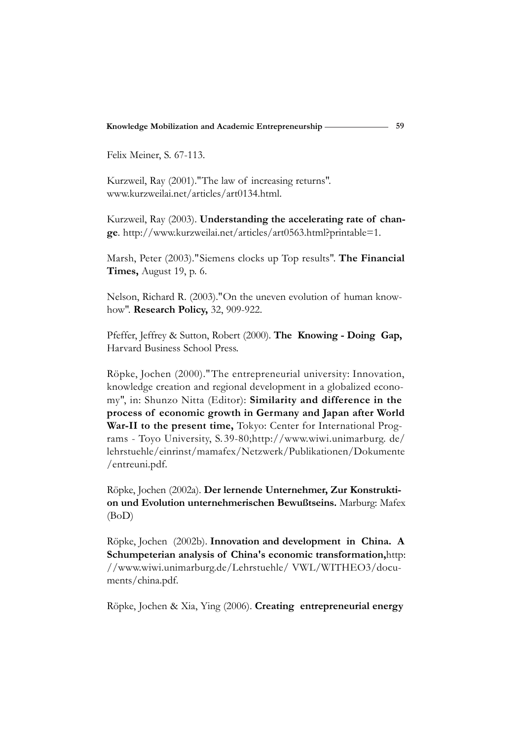Felix Meiner, S. 67-113.

Kurzweil, Ray (2001)."The law of increasing returns". www.kurzweilai.net/articles/art0134.html.

Kurzweil, Ray (2003). **Understanding the accelerating rate of change**. http://www.kurzweilai.net/articles/art0563.html?printable=1.

Marsh, Peter (2003)."Siemens clocks up Top results". **The Financial Times,** August 19, p. 6.

Nelson, Richard R. (2003)."On the uneven evolution of human knowhow". **Research Policy,** 32, 909-922.

Pfeffer, Jeffrey & Sutton, Robert (2000). **The Knowing - Doing Gap,** Harvard Business School Press.

Röpke, Jochen (2000)."The entrepreneurial university: Innovation, knowledge creation and regional development in a globalized economy", in: Shunzo Nitta (Editor): **Similarity and difference in the process of economic growth in Germany and Japan after World War-II to the present time,** Tokyo: Center for International Programs - Toyo University, S. 39-80;http://www.wiwi.unimarburg. de/ lehrstuehle/einrinst/mamafex/Netzwerk/Publikationen/Dokumente /entreuni.pdf.

Röpke, Jochen (2002a). **Der lernende Unternehmer, Zur Konstruktion und Evolution unternehmerischen Bewußtseins.** Marburg: Mafex (BoD)

Röpke, Jochen (2002b). **Innovation and development in China. A Schumpeterian analysis of China's economic transformation,**http: //www.wiwi.unimarburg.de/Lehrstuehle/ VWL/WITHEO3/documents/china.pdf.

Röpke, Jochen & Xia, Ying (2006). **Creating entrepreneurial energy**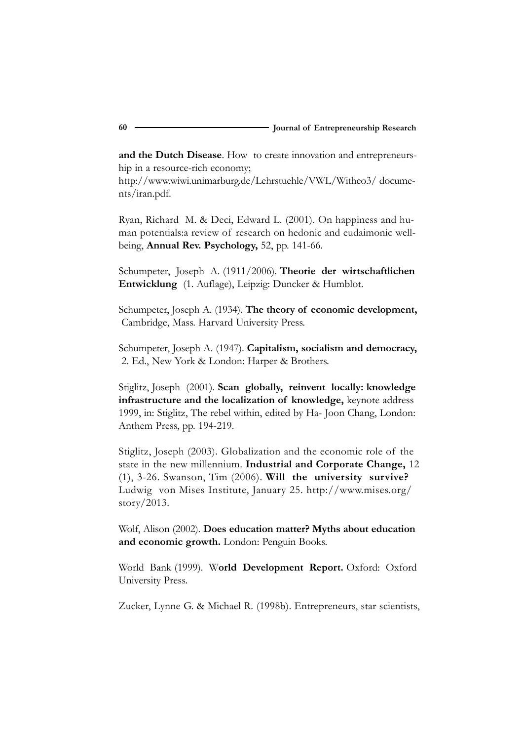**and the Dutch Disease**. How to create innovation and entrepreneurship in a resource-rich economy;

http://www.wiwi.unimarburg.de/Lehrstuehle/VWL/Witheo3/ documents/iran.pdf.

Ryan, Richard M. & Deci, Edward L. (2001). On happiness and human potentials:a review of research on hedonic and eudaimonic wellbeing, **Annual Rev. Psychology,** 52, pp. 141-66.

Schumpeter, Joseph A. (1911/2006). **Theorie der wirtschaftlichen Entwicklung** (1. Auflage), Leipzig: Duncker & Humblot.

Schumpeter, Joseph A. (1934). **The theory of economic development,** Cambridge, Mass. Harvard University Press.

Schumpeter, Joseph A. (1947). **Capitalism, socialism and democracy,** 2. Ed., New York & London: Harper & Brothers.

Stiglitz, Joseph (2001). **Scan globally, reinvent locally: knowledge infrastructure and the localization of knowledge,** keynote address 1999, in: Stiglitz, The rebel within, edited by Ha- Joon Chang, London: Anthem Press, pp. 194-219.

Stiglitz, Joseph (2003). Globalization and the economic role of the state in the new millennium. **Industrial and Corporate Change,** 12 (1), 3-26. Swanson, Tim (2006). **Will the university survive?** Ludwig von Mises Institute, January 25. http://www.mises.org/ story/2013.

Wolf, Alison (2002). **Does education matter? Myths about education and economic growth.** London: Penguin Books.

World Bank (1999). W**orld Development Report.** Oxford: Oxford University Press.

Zucker, Lynne G. & Michael R. (1998b). Entrepreneurs, star scientists,